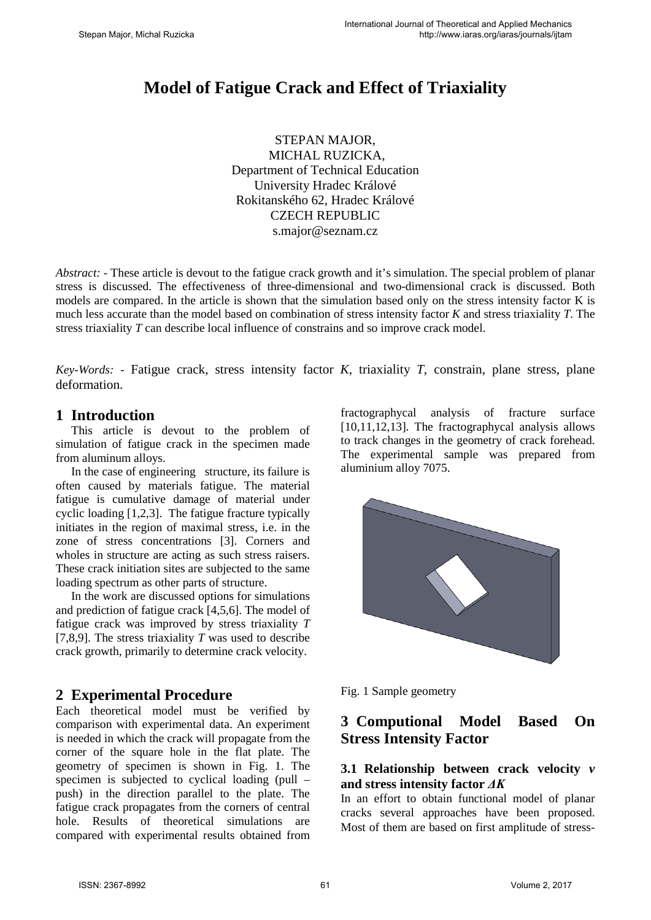# **Model of Fatigue Crack and Effect of Triaxiality**

STEPAN MAJOR, MICHAL RUZICKA, Department of Technical Education University Hradec Králové Rokitanského 62, Hradec Králové CZECH REPUBLIC s.major@seznam.cz

*Abstract: -* These article is devout to the fatigue crack growth and it's simulation. The special problem of planar stress is discussed. The effectiveness of three-dimensional and two-dimensional crack is discussed. Both models are compared. In the article is shown that the simulation based only on the stress intensity factor K is much less accurate than the model based on combination of stress intensity factor *K* and stress triaxiality *T*. The stress triaxiality *T* can describe local influence of constrains and so improve crack model.

*Key-Words: -* Fatigue crack, stress intensity factor *K*, triaxiality *T*, constrain, plane stress, plane deformation.

### **1 Introduction**

This article is devout to the problem of simulation of fatigue crack in the specimen made from aluminum alloys.

In the case of engineering structure, its failure is often caused by materials fatigue. The material fatigue is cumulative damage of material under cyclic loading [1,2,3]. The fatigue fracture typically initiates in the region of maximal stress, i.e. in the zone of stress concentrations [3]. Corners and wholes in structure are acting as such stress raisers. These crack initiation sites are subjected to the same loading spectrum as other parts of structure.

In the work are discussed options for simulations and prediction of fatigue crack [4,5,6]. The model of fatigue crack was improved by stress triaxiality *T*  [7,8,9]. The stress triaxiality *T* was used to describe crack growth, primarily to determine crack velocity.

## **2 Experimental Procedure**

Each theoretical model must be verified by comparison with experimental data. An experiment is needed in which the crack will propagate from the corner of the square hole in the flat plate. The geometry of specimen is shown in Fig. 1. The specimen is subjected to cyclical loading (pull – push) in the direction parallel to the plate. The fatigue crack propagates from the corners of central hole. Results of theoretical simulations are compared with experimental results obtained from fractographycal analysis of fracture surface [10,11,12,13]. The fractographycal analysis allows to track changes in the geometry of crack forehead. The experimental sample was prepared from aluminium alloy 7075.



Fig. 1 Sample geometry

## **3 Computional Model Based On Stress Intensity Factor**

#### **3.1 Relationship between crack velocity** *v* **and stress intensity factor** *ΔK*

In an effort to obtain functional model of planar cracks several approaches have been proposed. Most of them are based on first amplitude of stress-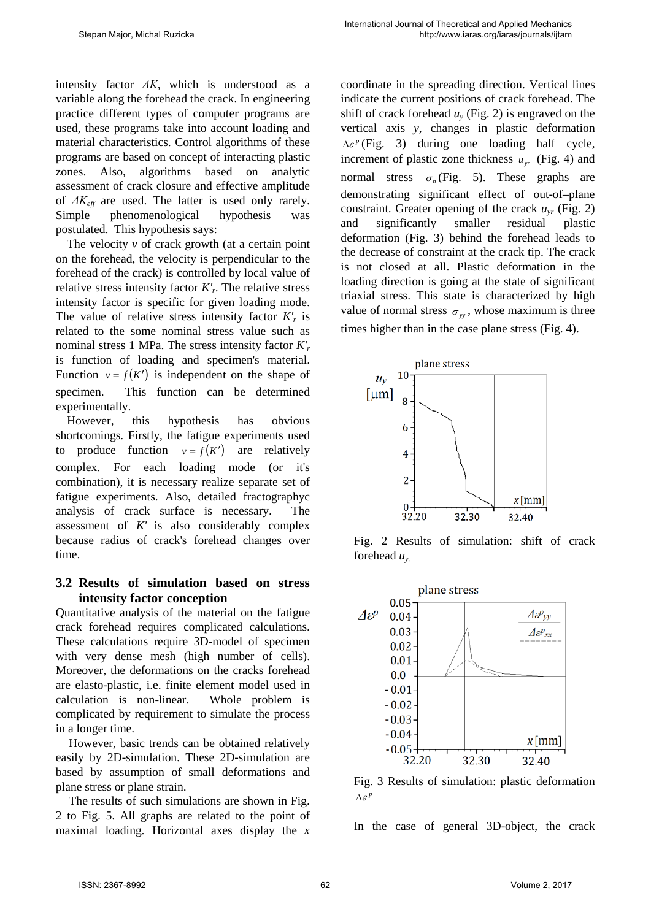intensity factor *ΔK*, which is understood as a variable along the forehead the crack. In engineering practice different types of computer programs are used, these programs take into account loading and material characteristics. Control algorithms of these programs are based on concept of interacting plastic zones. Also, algorithms based on analytic assessment of crack closure and effective amplitude of *ΔKeff* are used. The latter is used only rarely. Simple phenomenological hypothesis was postulated. This hypothesis says:

The velocity  $\nu$  of crack growth (at a certain point on the forehead, the velocity is perpendicular to the forehead of the crack) is controlled by local value of relative stress intensity factor *K'r*. The relative stress intensity factor is specific for given loading mode. The value of relative stress intensity factor  $K'_{r}$  is related to the some nominal stress value such as nominal stress 1 MPa. The stress intensity factor *K'r* is function of loading and specimen's material. Function  $v = f(K')$  is independent on the shape of specimen. This function can be determined experimentally.

However, this hypothesis has obvious shortcomings. Firstly, the fatigue experiments used to produce function  $v = f(K')$  are relatively complex. For each loading mode (or it's combination), it is necessary realize separate set of fatigue experiments. Also, detailed fractographyc analysis of crack surface is necessary. The assessment of *K'* is also considerably complex because radius of crack's forehead changes over time.

#### **3.2 Results of simulation based on stress intensity factor conception**

Quantitative analysis of the material on the fatigue crack forehead requires complicated calculations. These calculations require 3D-model of specimen with very dense mesh (high number of cells). Moreover, the deformations on the cracks forehead are elasto-plastic, i.e. finite element model used in calculation is non-linear. Whole problem is complicated by requirement to simulate the process in a longer time.

However, basic trends can be obtained relatively easily by 2D-simulation. These 2D-simulation are based by assumption of small deformations and plane stress or plane strain.

The results of such simulations are shown in Fig. 2 to Fig. 5. All graphs are related to the point of maximal loading. Horizontal axes display the *x* 

coordinate in the spreading direction. Vertical lines indicate the current positions of crack forehead. The shift of crack forehead  $u<sub>v</sub>$  (Fig. 2) is engraved on the vertical axis *y*, changes in plastic deformation  $\Delta \varepsilon^p$  (Fig. 3) during one loading half cycle, increment of plastic zone thickness  $u_{vr}$  (Fig. 4) and normal stress  $\sigma_n$  (Fig. 5). These graphs are demonstrating significant effect of out-of–plane constraint. Greater opening of the crack  $u_{vr}$  (Fig. 2) and significantly smaller residual plastic deformation (Fig. 3) behind the forehead leads to the decrease of constraint at the crack tip. The crack is not closed at all. Plastic deformation in the loading direction is going at the state of significant triaxial stress. This state is characterized by high value of normal stress  $\sigma_w$ , whose maximum is three times higher than in the case plane stress (Fig. 4).



Fig. 2 Results of simulation: shift of crack forehead  $u_{v}$ .



Fig. 3 Results of simulation: plastic deformation *<sup>p</sup>* ∆<sup>ε</sup>

In the case of general 3D-object, the crack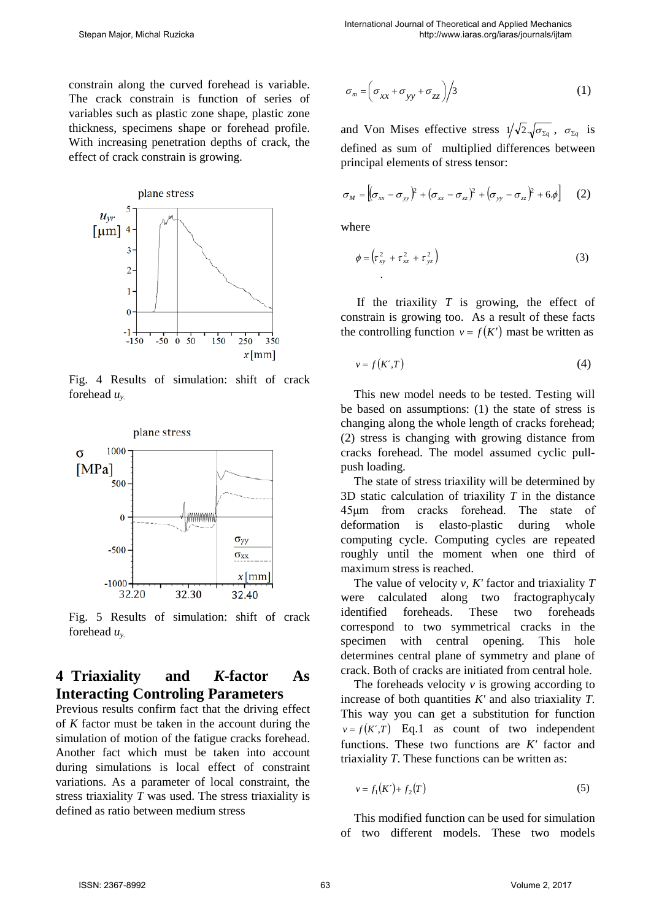constrain along the curved forehead is variable. The crack constrain is function of series of variables such as plastic zone shape, plastic zone thickness, specimens shape or forehead profile. With increasing penetration depths of crack, the effect of crack constrain is growing.



Fig. 4 Results of simulation: shift of crack forehead *uy.* 



Fig. 5 Results of simulation: shift of crack forehead *uy.*

## **4 Triaxiality and** *K***-factor As Interacting Controling Parameters**

Previous results confirm fact that the driving effect of *K* factor must be taken in the account during the simulation of motion of the fatigue cracks forehead. Another fact which must be taken into account during simulations is local effect of constraint variations. As a parameter of local constraint, the stress triaxiality *T* was used. The stress triaxiality is defined as ratio between medium stress

$$
\sigma_m = \left(\sigma_{xx} + \sigma_{yy} + \sigma_{zz}\right) / 3 \tag{1}
$$

and Von Mises effective stress  $1/\sqrt{2} \sqrt{\sigma_{\Sigma g}}$ ,  $\sigma_{\Sigma g}$  is defined as sum of multiplied differences between principal elements of stress tensor:

$$
\sigma_M = \left[ (\sigma_{xx} - \sigma_{yy})^2 + (\sigma_{xx} - \sigma_{zz})^2 + (\sigma_{yy} - \sigma_{zz})^2 + 6\phi \right]
$$
 (2)

where

.

$$
\phi = \left( \tau_{xy}^2 + \tau_{xz}^2 + \tau_{yz}^2 \right) \tag{3}
$$

If the triaxility *T* is growing, the effect of constrain is growing too. As a result of these facts the controlling function  $v = f(K')$  mast be written as

$$
v = f(K', T) \tag{4}
$$

This new model needs to be tested. Testing will be based on assumptions: (1) the state of stress is changing along the whole length of cracks forehead; (2) stress is changing with growing distance from cracks forehead. The model assumed cyclic pullpush loading.

The state of stress triaxility will be determined by 3D static calculation of triaxility *T* in the distance 45μm from cracks forehead. The state of deformation is elasto-plastic during whole computing cycle. Computing cycles are repeated roughly until the moment when one third of maximum stress is reached.

The value of velocity *v, K'* factor and triaxiality *T* were calculated along two fractographycaly identified foreheads. These two foreheads correspond to two symmetrical cracks in the specimen with central opening. This hole determines central plane of symmetry and plane of crack. Both of cracks are initiated from central hole.

The foreheads velocity *v* is growing according to increase of both quantities *K'* and also triaxiality *T*. This way you can get a substitution for function  $v = f(K',T)$  Eq.1 as count of two independent functions. These two functions are *K'* factor and triaxiality *T*. These functions can be written as:

$$
v = f_1(K') + f_2(T)
$$
 (5)

This modified function can be used for simulation of two different models. These two models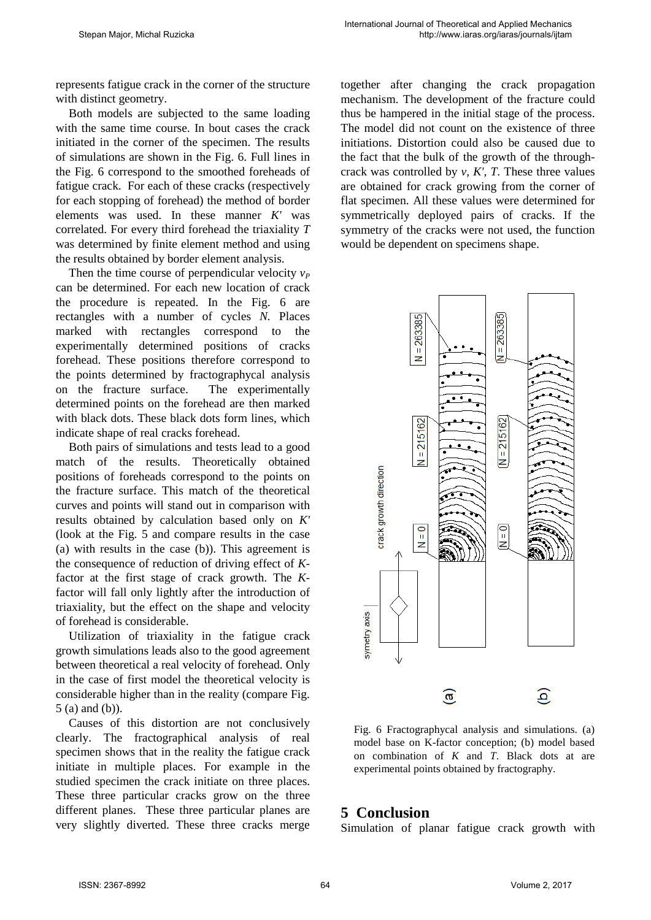represents fatigue crack in the corner of the structure with distinct geometry.

Both models are subjected to the same loading with the same time course. In bout cases the crack initiated in the corner of the specimen. The results of simulations are shown in the Fig. 6. Full lines in the Fig. 6 correspond to the smoothed foreheads of fatigue crack. For each of these cracks (respectively for each stopping of forehead) the method of border elements was used. In these manner *K'* was correlated. For every third forehead the triaxiality *T* was determined by finite element method and using the results obtained by border element analysis.

Then the time course of perpendicular velocity  $v_P$ can be determined. For each new location of crack the procedure is repeated. In the Fig. 6 are rectangles with a number of cycles *N.* Places marked with rectangles correspond to the experimentally determined positions of cracks forehead. These positions therefore correspond to the points determined by fractographycal analysis on the fracture surface. The experimentally determined points on the forehead are then marked with black dots. These black dots form lines, which indicate shape of real cracks forehead.

Both pairs of simulations and tests lead to a good match of the results. Theoretically obtained positions of foreheads correspond to the points on the fracture surface. This match of the theoretical curves and points will stand out in comparison with results obtained by calculation based only on *K'* (look at the Fig. 5 and compare results in the case (a) with results in the case (b)). This agreement is the consequence of reduction of driving effect of *K*factor at the first stage of crack growth. The *K*factor will fall only lightly after the introduction of triaxiality, but the effect on the shape and velocity of forehead is considerable.

Utilization of triaxiality in the fatigue crack growth simulations leads also to the good agreement between theoretical a real velocity of forehead. Only in the case of first model the theoretical velocity is considerable higher than in the reality (compare Fig. 5 (a) and (b)).

Causes of this distortion are not conclusively clearly. The fractographical analysis of real specimen shows that in the reality the fatigue crack initiate in multiple places. For example in the studied specimen the crack initiate on three places. These three particular cracks grow on the three different planes. These three particular planes are very slightly diverted. These three cracks merge

together after changing the crack propagation mechanism. The development of the fracture could thus be hampered in the initial stage of the process. The model did not count on the existence of three initiations. Distortion could also be caused due to the fact that the bulk of the growth of the throughcrack was controlled by *v*, *K'*, *T*. These three values are obtained for crack growing from the corner of flat specimen. All these values were determined for symmetrically deployed pairs of cracks. If the symmetry of the cracks were not used, the function would be dependent on specimens shape.



Fig. 6 Fractographycal analysis and simulations. (a) model base on K-factor conception; (b) model based on combination of *K* and *T*. Black dots at are experimental points obtained by fractography.

#### **5 Conclusion**

Simulation of planar fatigue crack growth with